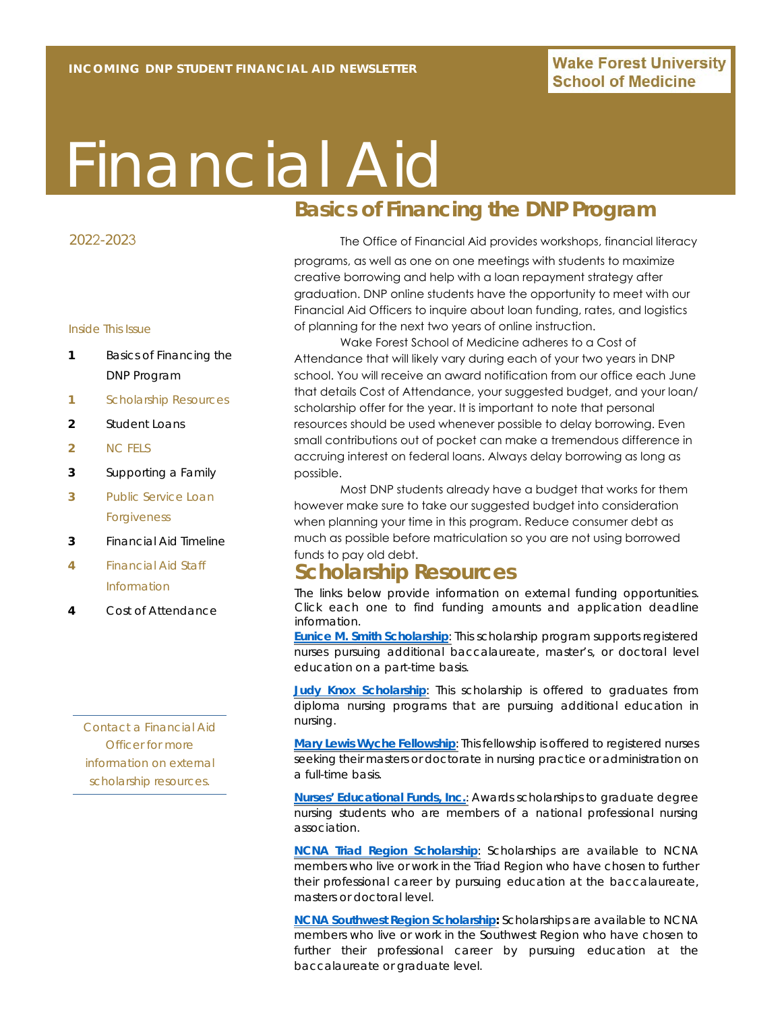# Financial Aid

#### 2022-2023

#### Inside This Issue

- **1** Basics of Financing the DNP Program
- **1** Scholarship Resources
- **2** Student Loans
- **2** NC FELS
- **3** Supporting a Family
- **3** Public Service Loan Forgiveness
- **3** Financial Aid Timeline
- **4** Financial Aid Staff Information
- **4** Cost of Attendance

*Contact a Financial Aid Officer for more information on external scholarship resources.*

# **Basics of Financing the DNP Program**

The Office of Financial Aid provides workshops, financial literacy

programs, as well as one on one meetings with students to maximize creative borrowing and help with a loan repayment strategy after graduation. DNP online students have the opportunity to meet with our Financial Aid Officers to inquire about loan funding, rates, and logistics of planning for the next two years of online instruction.

Wake Forest School of Medicine adheres to a Cost of Attendance that will likely vary during each of your two years in DNP school. You will receive an award notification from our office each June that details Cost of Attendance, your suggested budget, and your loan/ scholarship offer for the year. It is important to note that personal resources should be used whenever possible to delay borrowing. Even small contributions out of pocket can make a tremendous difference in accruing interest on federal loans. Always delay borrowing as long as possible.

Most DNP students already have a budget that works for them however make sure to take our suggested budget into consideration when planning your time in this program. Reduce consumer debt as much as possible before matriculation so you are not using borrowed funds to pay old debt.

### **Scholarship Resources**

The links below provide information on external funding opportunities. Click each one to find funding amounts and application deadline information.

**[Eunice M. Smith Scholarship](https://ncnurses.org/foundation/scholarships/#smith)**: This scholarship program supports registered nurses pursuing additional baccalaureate, master's, or doctoral level education on a part-time basis.

**[Judy Knox Scholarship](https://www.cfnc.org/pay-for-college/scholarship-search/judy-knox-scholarship/)**: This scholarship is offered to graduates from diploma nursing programs that are pursuing additional education in nursing.

**[Mary Lewis Wyche Fellowship](https://ncnurses.org/foundation/scholarships/#wyche)**: This fellowship is offered to registered nurses seeking their masters or doctorate in nursing practice or administration on a full-time basis.

**[Nurses' Educational Funds, Inc.](https://www.n-e-f.org/)**: Awards scholarships to graduate degree nursing students who are members of a national professional nursing association.

**[NCNA Triad Region Scholarship](https://ncnurses.org/foundation/scholarships/#triad)**: Scholarships are available to NCNA members who live or work in the Triad Region who have chosen to further their professional career by pursuing education at the baccalaureate, masters or doctoral level.

**[NCNA Southwest Region Scholarship:](https://ncnurses.org/foundation/scholarships/#southwest)** Scholarships are available to NCNA members who live or work in the Southwest Region who have chosen to further their professional career by pursuing education at the baccalaureate or graduate level.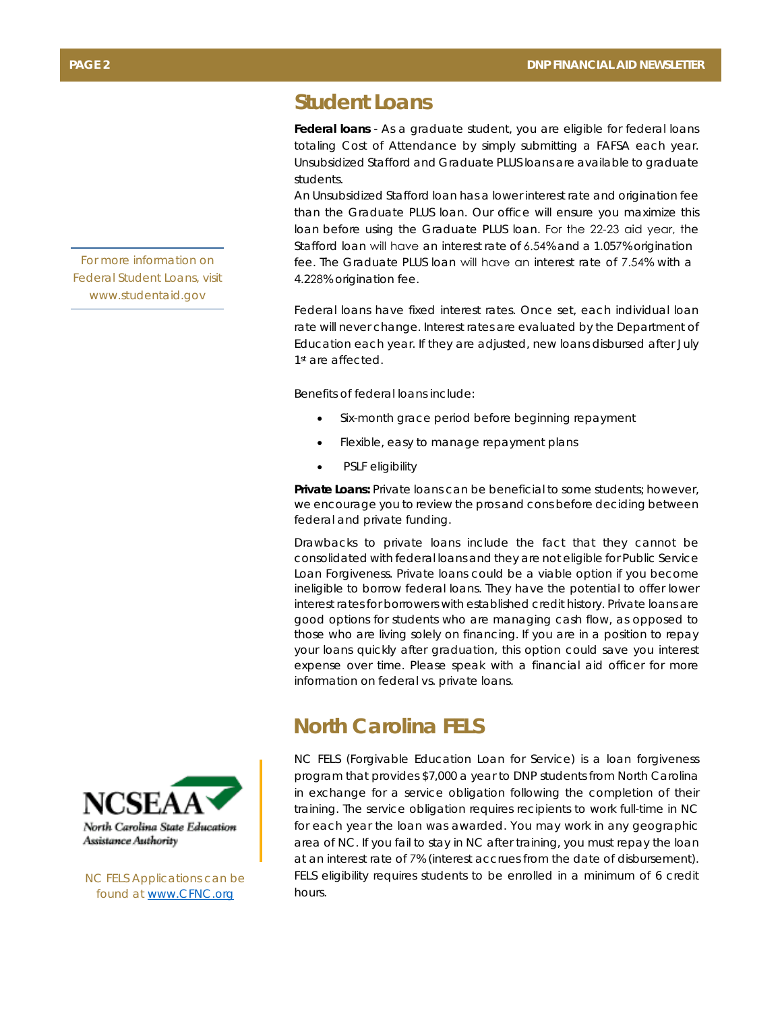# **Student Loans**

**Federal loans** - As a graduate student, you are eligible for federal loans totaling Cost of Attendance by simply submitting a FAFSA each year. Unsubsidized Stafford and Graduate PLUS loans are available to graduate students.

An Unsubsidized Stafford loan has a lower interest rate and origination fee than the Graduate PLUS loan. Our office will ensure you maximize this loan before using the Graduate PLUS loan. For the 22-23 aid year, the Stafford loan will have an interest rate of 6.54% and a 1.057% origination fee. The Graduate PLUS loan will have an interest rate of 7.54% with a 4.228% origination fee.

Federal loans have fixed interest rates. Once set, each individual loan rate will never change. Interest rates are evaluated by the Department of Education each year. If they are adjusted, new loans disbursed after July 1st are affected.

Benefits of federal loans include:

- Six-month grace period before beginning repayment
- Flexible, easy to manage repayment plans
- PSLF eligibility

**Private Loans:** Private loans can be beneficial to some students; however, we encourage you to review the pros and cons before deciding between federal and private funding.

Drawbacks to private loans include the fact that they cannot be consolidated with federal loans and they are not eligible for Public Service Loan Forgiveness. Private loans could be a viable option if you become ineligible to borrow federal loans. They have the potential to offer lower interest rates for borrowers with established credit history. Private loans are good options for students who are managing cash flow, as opposed to those who are living solely on financing. If you are in a position to repay your loans quickly after graduation, this option could save you interest expense over time. Please speak with a financial aid officer for more information on federal vs. private loans.

## **North Carolina FELS**

NC FELS (Forgivable Education Loan for Service) is a loan forgiveness program that provides \$7,000 a year to DNP students from North Carolina in exchange for a service obligation following the completion of their training. The service obligation requires recipients to work full-time in NC for each year the loan was awarded. You may work in any geographic area of NC. If you fail to stay in NC after training, you must repay the loan at an interest rate of 7% (interest accrues from the date of disbursement). FELS eligibility requires students to be enrolled in a minimum of 6 credit hours.

*For more information on Federal Student Loans, visit www.studentaid.gov* 



*NC FELS Applications can be found at www.CFNC.org*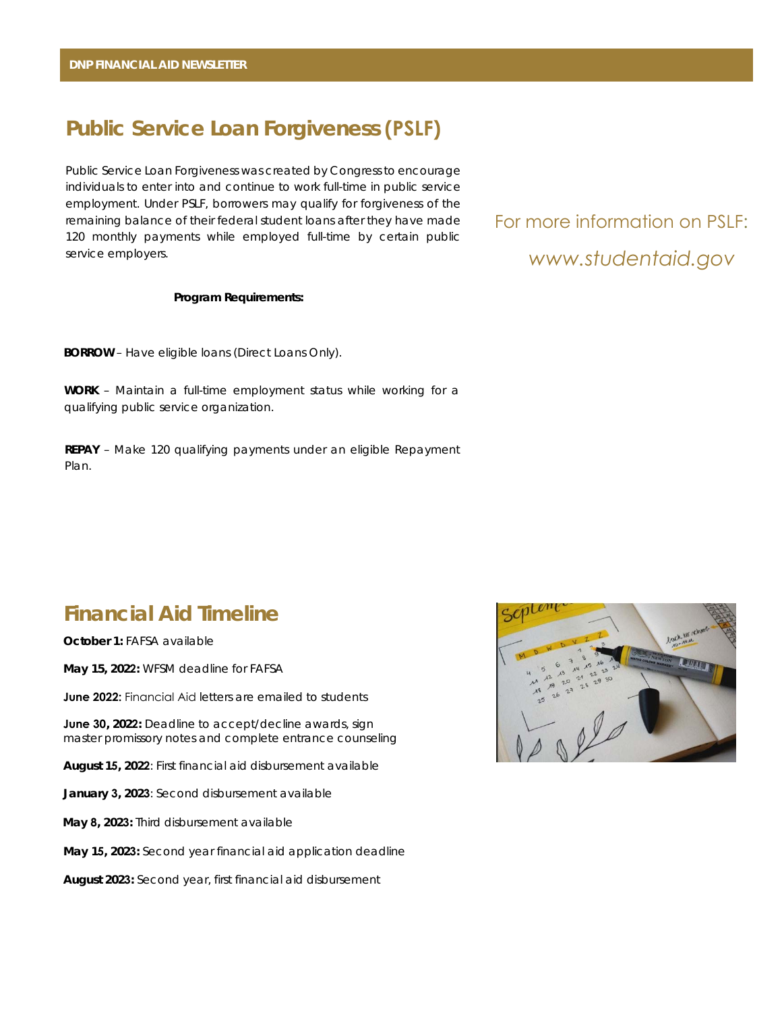# **Public Service Loan Forgiveness (PSLF)**

Public Service Loan Forgiveness was created by Congress to encourage individuals to enter into and continue to work full-time in public service employment. Under PSLF, borrowers may qualify for forgiveness of the remaining balance of their federal student loans after they have made 120 monthly payments while employed full-time by certain public service employers.

#### **Program Requirements:**

**BORROW** – Have eligible loans (Direct Loans Only).

**WORK** – Maintain a full-time employment status while working for a qualifying public service organization.

**REPAY** – Make 120 qualifying payments under an eligible Repayment Plan.

# *www.studentaid.gov* For more information on PSLF:

# **Financial Aid Timeline**

**October 1:** FAFSA available

**May 15, 2022:** WFSM deadline for FAFSA

**June 2022:** Financial Aid letters are emailed to students

**June 30, 2022:** Deadline to accept/decline awards, sign master promissory notes and complete entrance counseling

**August 15, 2022**: First financial aid disbursement available

**January 3, 2023**: Second disbursement available

**May 8, 2023:** Third disbursement available

**May 15, 2023:** Second year financial aid application deadline

**August 2023:** Second year, first financial aid disbursement